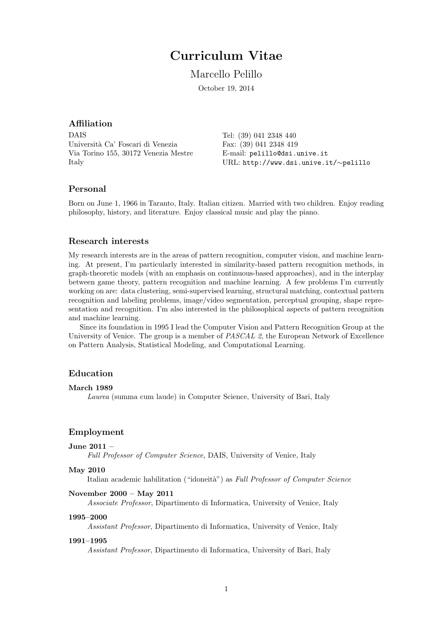# Curriculum Vitae

Marcello Pelillo

October 19, 2014

# Affiliation

DAIS Università Ca' Foscari di Venezia Via Torino 155, 30172 Venezia Mestre Italy

Tel: (39) 041 2348 440 Fax: (39) 041 2348 419 E-mail: pelillo@dsi.unive.it URL: http://www.dsi.unive.it/∼pelillo

# Personal

Born on June 1, 1966 in Taranto, Italy. Italian citizen. Married with two children. Enjoy reading philosophy, history, and literature. Enjoy classical music and play the piano.

# Research interests

My research interests are in the areas of pattern recognition, computer vision, and machine learning. At present, I'm particularly interested in similarity-based pattern recognition methods, in graph-theoretic models (with an emphasis on continuous-based approaches), and in the interplay between game theory, pattern recognition and machine learning. A few problems I'm currently working on are: data clustering, semi-supervised learning, structural matching, contextual pattern recognition and labeling problems, image/video segmentation, perceptual grouping, shape representation and recognition. I'm also interested in the philosophical aspects of pattern recognition and machine learning.

Since its foundation in 1995 I lead the Computer Vision and Pattern Recognition Group at the University of Venice. The group is a member of *PASCAL 2*, the European Network of Excellence on Pattern Analysis, Statistical Modeling, and Computational Learning.

# Education

#### March 1989

Laurea (summa cum laude) in Computer Science, University of Bari, Italy

# Employment

# June 2011 –

Full Professor of Computer Science, DAIS, University of Venice, Italy

## May 2010

Italian academic habilitation ("idoneità") as Full Professor of Computer Science

#### November 2000 – May 2011

Associate Professor, Dipartimento di Informatica, University of Venice, Italy

#### 1995–2000

Assistant Professor, Dipartimento di Informatica, University of Venice, Italy

#### 1991–1995

Assistant Professor, Dipartimento di Informatica, University of Bari, Italy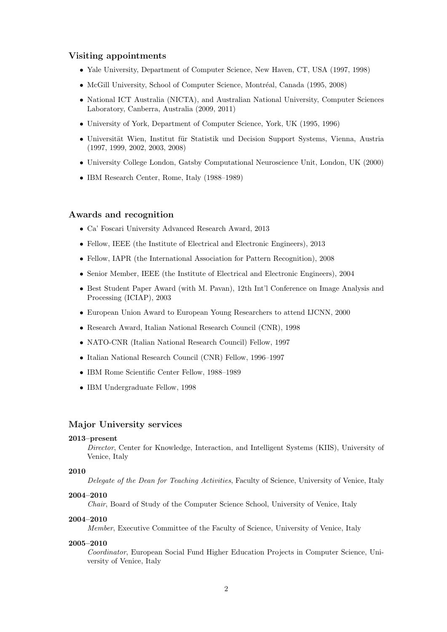# Visiting appointments

- Yale University, Department of Computer Science, New Haven, CT, USA (1997, 1998)
- McGill University, School of Computer Science, Montréal, Canada (1995, 2008)
- National ICT Australia (NICTA), and Australian National University, Computer Sciences Laboratory, Canberra, Australia (2009, 2011)
- University of York, Department of Computer Science, York, UK (1995, 1996)
- Universität Wien, Institut für Statistik und Decision Support Systems, Vienna, Austria (1997, 1999, 2002, 2003, 2008)
- University College London, Gatsby Computational Neuroscience Unit, London, UK (2000)
- IBM Research Center, Rome, Italy (1988–1989)

# Awards and recognition

- Ca' Foscari University Advanced Research Award, 2013
- Fellow, IEEE (the Institute of Electrical and Electronic Engineers), 2013
- Fellow, IAPR (the International Association for Pattern Recognition), 2008
- Senior Member, IEEE (the Institute of Electrical and Electronic Engineers), 2004
- Best Student Paper Award (with M. Pavan), 12th Int'l Conference on Image Analysis and Processing (ICIAP), 2003
- European Union Award to European Young Researchers to attend IJCNN, 2000
- Research Award, Italian National Research Council (CNR), 1998
- NATO-CNR (Italian National Research Council) Fellow, 1997
- Italian National Research Council (CNR) Fellow, 1996–1997
- IBM Rome Scientific Center Fellow, 1988–1989
- IBM Undergraduate Fellow, 1998

# Major University services

#### 2013–present

Director, Center for Knowledge, Interaction, and Intelligent Systems (KIIS), University of Venice, Italy

## 2010

Delegate of the Dean for Teaching Activities, Faculty of Science, University of Venice, Italy

#### 2004–2010

Chair, Board of Study of the Computer Science School, University of Venice, Italy

#### 2004–2010

Member, Executive Committee of the Faculty of Science, University of Venice, Italy

#### 2005–2010

Coordinator, European Social Fund Higher Education Projects in Computer Science, University of Venice, Italy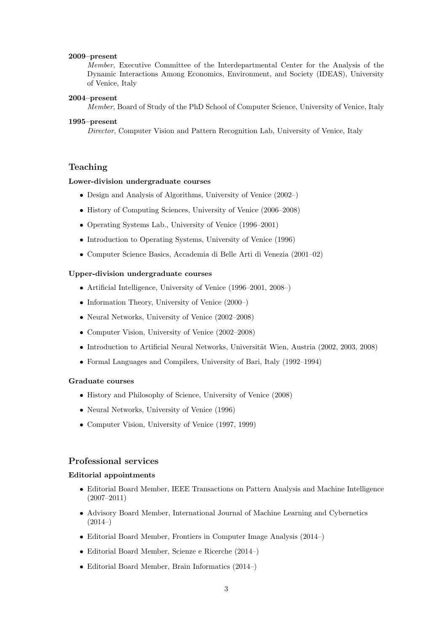#### 2009–present

Member, Executive Committee of the Interdepartmental Center for the Analysis of the Dynamic Interactions Among Economics, Environment, and Society (IDEAS), University of Venice, Italy

# 2004–present

Member, Board of Study of the PhD School of Computer Science, University of Venice, Italy

#### 1995–present

Director, Computer Vision and Pattern Recognition Lab, University of Venice, Italy

# Teaching

## Lower-division undergraduate courses

- Design and Analysis of Algorithms, University of Venice (2002–)
- History of Computing Sciences, University of Venice (2006–2008)
- Operating Systems Lab., University of Venice (1996–2001)
- Introduction to Operating Systems, University of Venice (1996)
- Computer Science Basics, Accademia di Belle Arti di Venezia (2001–02)

## Upper-division undergraduate courses

- Artificial Intelligence, University of Venice (1996–2001, 2008–)
- Information Theory, University of Venice (2000–)
- Neural Networks, University of Venice (2002–2008)
- Computer Vision, University of Venice (2002–2008)
- Introduction to Artificial Neural Networks, Universität Wien, Austria (2002, 2003, 2008)
- Formal Languages and Compilers, University of Bari, Italy (1992–1994)

## Graduate courses

- History and Philosophy of Science, University of Venice (2008)
- Neural Networks, University of Venice (1996)
- Computer Vision, University of Venice (1997, 1999)

# Professional services

#### Editorial appointments

- Editorial Board Member, IEEE Transactions on Pattern Analysis and Machine Intelligence (2007–2011)
- Advisory Board Member, International Journal of Machine Learning and Cybernetics  $(2014–)$
- Editorial Board Member, Frontiers in Computer Image Analysis (2014–)
- Editorial Board Member, Scienze e Ricerche (2014–)
- Editorial Board Member, Brain Informatics (2014–)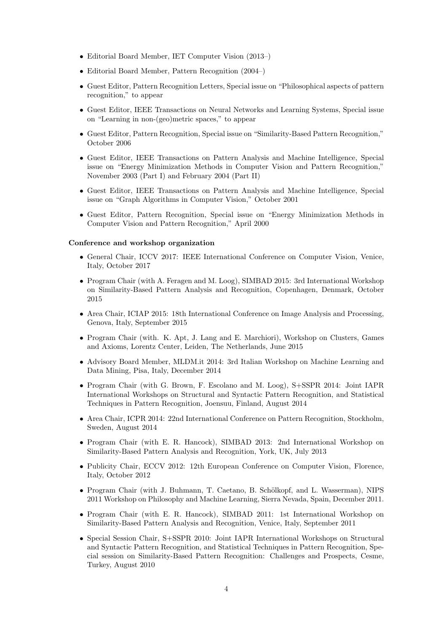- Editorial Board Member, IET Computer Vision (2013–)
- Editorial Board Member, Pattern Recognition (2004–)
- Guest Editor, Pattern Recognition Letters, Special issue on "Philosophical aspects of pattern recognition," to appear
- Guest Editor, IEEE Transactions on Neural Networks and Learning Systems, Special issue on "Learning in non-(geo)metric spaces," to appear
- Guest Editor, Pattern Recognition, Special issue on "Similarity-Based Pattern Recognition," October 2006
- Guest Editor, IEEE Transactions on Pattern Analysis and Machine Intelligence, Special issue on "Energy Minimization Methods in Computer Vision and Pattern Recognition," November 2003 (Part I) and February 2004 (Part II)
- Guest Editor, IEEE Transactions on Pattern Analysis and Machine Intelligence, Special issue on "Graph Algorithms in Computer Vision," October 2001
- Guest Editor, Pattern Recognition, Special issue on "Energy Minimization Methods in Computer Vision and Pattern Recognition," April 2000

# Conference and workshop organization

- General Chair, ICCV 2017: IEEE International Conference on Computer Vision, Venice, Italy, October 2017
- Program Chair (with A. Feragen and M. Loog), SIMBAD 2015: 3rd International Workshop on Similarity-Based Pattern Analysis and Recognition, Copenhagen, Denmark, October 2015
- Area Chair, ICIAP 2015: 18th International Conference on Image Analysis and Processing, Genova, Italy, September 2015
- Program Chair (with. K. Apt, J. Lang and E. Marchiori), Workshop on Clusters, Games and Axioms, Lorentz Center, Leiden, The Netherlands, June 2015
- Advisory Board Member, MLDM.it 2014: 3rd Italian Workshop on Machine Learning and Data Mining, Pisa, Italy, December 2014
- Program Chair (with G. Brown, F. Escolano and M. Loog), S+SSPR 2014: Joint IAPR International Workshops on Structural and Syntactic Pattern Recognition, and Statistical Techniques in Pattern Recognition, Joensuu, Finland, August 2014
- Area Chair, ICPR 2014: 22nd International Conference on Pattern Recognition, Stockholm, Sweden, August 2014
- Program Chair (with E. R. Hancock), SIMBAD 2013: 2nd International Workshop on Similarity-Based Pattern Analysis and Recognition, York, UK, July 2013
- Publicity Chair, ECCV 2012: 12th European Conference on Computer Vision, Florence, Italy, October 2012
- Program Chair (with J. Buhmann, T. Caetano, B. Schölkopf, and L. Wasserman), NIPS 2011 Workshop on Philosophy and Machine Learning, Sierra Nevada, Spain, December 2011.
- Program Chair (with E. R. Hancock), SIMBAD 2011: 1st International Workshop on Similarity-Based Pattern Analysis and Recognition, Venice, Italy, September 2011
- Special Session Chair, S+SSPR 2010: Joint IAPR International Workshops on Structural and Syntactic Pattern Recognition, and Statistical Techniques in Pattern Recognition, Special session on Similarity-Based Pattern Recognition: Challenges and Prospects, Cesme, Turkey, August 2010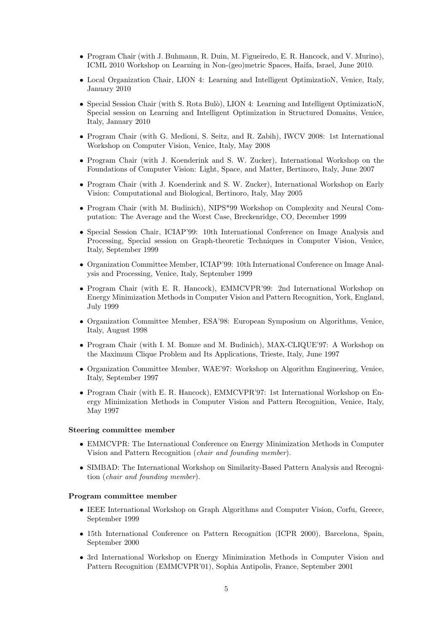- Program Chair (with J. Buhmann, R. Duin, M. Figueiredo, E. R. Hancock, and V. Murino), ICML 2010 Workshop on Learning in Non-(geo)metric Spaces, Haifa, Israel, June 2010.
- Local Organization Chair, LION 4: Learning and Intelligent OptimizatioN, Venice, Italy, January 2010
- Special Session Chair (with S. Rota Bulò), LION 4: Learning and Intelligent OptimizatioN, Special session on Learning and Intelligent Optimization in Structured Domains, Venice, Italy, January 2010
- Program Chair (with G. Medioni, S. Seitz, and R. Zabih), IWCV 2008: 1st International Workshop on Computer Vision, Venice, Italy, May 2008
- Program Chair (with J. Koenderink and S. W. Zucker), International Workshop on the Foundations of Computer Vision: Light, Space, and Matter, Bertinoro, Italy, June 2007
- Program Chair (with J. Koenderink and S. W. Zucker), International Workshop on Early Vision: Computational and Biological, Bertinoro, Italy, May 2005
- Program Chair (with M. Budinich), NIPS\*99 Workshop on Complexity and Neural Computation: The Average and the Worst Case, Breckenridge, CO, December 1999
- Special Session Chair, ICIAP'99: 10th International Conference on Image Analysis and Processing, Special session on Graph-theoretic Techniques in Computer Vision, Venice, Italy, September 1999
- Organization Committee Member, ICIAP'99: 10th International Conference on Image Analysis and Processing, Venice, Italy, September 1999
- Program Chair (with E. R. Hancock), EMMCVPR'99: 2nd International Workshop on Energy Minimization Methods in Computer Vision and Pattern Recognition, York, England, July 1999
- Organization Committee Member, ESA'98: European Symposium on Algorithms, Venice, Italy, August 1998
- Program Chair (with I. M. Bomze and M. Budinich), MAX-CLIQUE'97: A Workshop on the Maximum Clique Problem and Its Applications, Trieste, Italy, June 1997
- Organization Committee Member, WAE'97: Workshop on Algorithm Engineering, Venice, Italy, September 1997
- Program Chair (with E. R. Hancock), EMMCVPR'97: 1st International Workshop on Energy Minimization Methods in Computer Vision and Pattern Recognition, Venice, Italy, May 1997

#### Steering committee member

- EMMCVPR: The International Conference on Energy Minimization Methods in Computer Vision and Pattern Recognition (chair and founding member).
- SIMBAD: The International Workshop on Similarity-Based Pattern Analysis and Recognition (chair and founding member).

## Program committee member

- IEEE International Workshop on Graph Algorithms and Computer Vision, Corfu, Greece, September 1999
- 15th International Conference on Pattern Recognition (ICPR 2000), Barcelona, Spain, September 2000
- 3rd International Workshop on Energy Minimization Methods in Computer Vision and Pattern Recognition (EMMCVPR'01), Sophia Antipolis, France, September 2001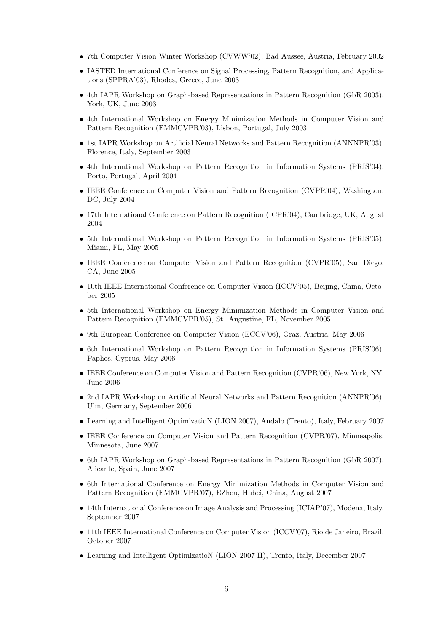- 7th Computer Vision Winter Workshop (CVWW'02), Bad Aussee, Austria, February 2002
- IASTED International Conference on Signal Processing, Pattern Recognition, and Applications (SPPRA'03), Rhodes, Greece, June 2003
- 4th IAPR Workshop on Graph-based Representations in Pattern Recognition (GbR 2003), York, UK, June 2003
- 4th International Workshop on Energy Minimization Methods in Computer Vision and Pattern Recognition (EMMCVPR'03), Lisbon, Portugal, July 2003
- 1st IAPR Workshop on Artificial Neural Networks and Pattern Recognition (ANNNPR'03), Florence, Italy, September 2003
- 4th International Workshop on Pattern Recognition in Information Systems (PRIS'04), Porto, Portugal, April 2004
- IEEE Conference on Computer Vision and Pattern Recognition (CVPR'04), Washington, DC, July 2004
- 17th International Conference on Pattern Recognition (ICPR'04), Cambridge, UK, August 2004
- 5th International Workshop on Pattern Recognition in Information Systems (PRIS'05), Miami, FL, May 2005
- IEEE Conference on Computer Vision and Pattern Recognition (CVPR'05), San Diego, CA, June 2005
- 10th IEEE International Conference on Computer Vision (ICCV'05), Beijing, China, October 2005
- 5th International Workshop on Energy Minimization Methods in Computer Vision and Pattern Recognition (EMMCVPR'05), St. Augustine, FL, November 2005
- 9th European Conference on Computer Vision (ECCV'06), Graz, Austria, May 2006
- 6th International Workshop on Pattern Recognition in Information Systems (PRIS'06), Paphos, Cyprus, May 2006
- IEEE Conference on Computer Vision and Pattern Recognition (CVPR'06), New York, NY, June 2006
- 2nd IAPR Workshop on Artificial Neural Networks and Pattern Recognition (ANNPR'06), Ulm, Germany, September 2006
- Learning and Intelligent OptimizatioN (LION 2007), Andalo (Trento), Italy, February 2007
- IEEE Conference on Computer Vision and Pattern Recognition (CVPR'07), Minneapolis, Minnesota, June 2007
- 6th IAPR Workshop on Graph-based Representations in Pattern Recognition (GbR 2007), Alicante, Spain, June 2007
- 6th International Conference on Energy Minimization Methods in Computer Vision and Pattern Recognition (EMMCVPR'07), EZhou, Hubei, China, August 2007
- 14th International Conference on Image Analysis and Processing (ICIAP'07), Modena, Italy, September 2007
- 11th IEEE International Conference on Computer Vision (ICCV'07), Rio de Janeiro, Brazil, October 2007
- Learning and Intelligent OptimizatioN (LION 2007 II), Trento, Italy, December 2007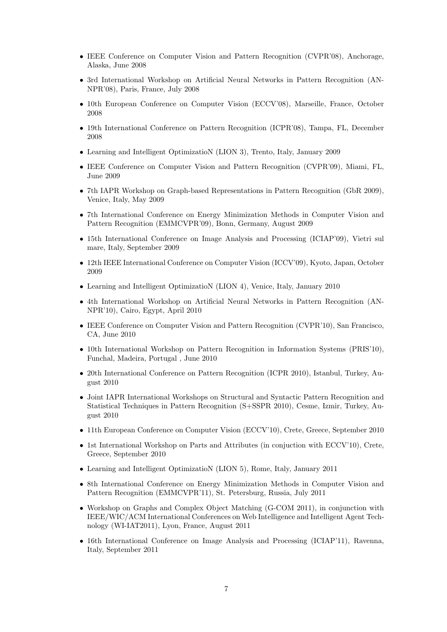- IEEE Conference on Computer Vision and Pattern Recognition (CVPR'08), Anchorage, Alaska, June 2008
- 3rd International Workshop on Artificial Neural Networks in Pattern Recognition (AN-NPR'08), Paris, France, July 2008
- 10th European Conference on Computer Vision (ECCV'08), Marseille, France, October 2008
- 19th International Conference on Pattern Recognition (ICPR'08), Tampa, FL, December 2008
- Learning and Intelligent OptimizatioN (LION 3), Trento, Italy, January 2009
- IEEE Conference on Computer Vision and Pattern Recognition (CVPR'09), Miami, FL, June 2009
- 7th IAPR Workshop on Graph-based Representations in Pattern Recognition (GbR 2009), Venice, Italy, May 2009
- 7th International Conference on Energy Minimization Methods in Computer Vision and Pattern Recognition (EMMCVPR'09), Bonn, Germany, August 2009
- 15th International Conference on Image Analysis and Processing (ICIAP'09), Vietri sul mare, Italy, September 2009
- 12th IEEE International Conference on Computer Vision (ICCV'09), Kyoto, Japan, October 2009
- Learning and Intelligent Optimization (LION 4), Venice, Italy, January 2010
- 4th International Workshop on Artificial Neural Networks in Pattern Recognition (AN-NPR'10), Cairo, Egypt, April 2010
- IEEE Conference on Computer Vision and Pattern Recognition (CVPR'10), San Francisco, CA, June 2010
- 10th International Workshop on Pattern Recognition in Information Systems (PRIS'10), Funchal, Madeira, Portugal , June 2010
- 20th International Conference on Pattern Recognition (ICPR 2010), Istanbul, Turkey, August 2010
- Joint IAPR International Workshops on Structural and Syntactic Pattern Recognition and Statistical Techniques in Pattern Recognition (S+SSPR 2010), Cesme, Izmir, Turkey, August 2010
- 11th European Conference on Computer Vision (ECCV'10), Crete, Greece, September 2010
- 1st International Workshop on Parts and Attributes (in conjuction with ECCV'10), Crete, Greece, September 2010
- Learning and Intelligent OptimizatioN (LION 5), Rome, Italy, January 2011
- 8th International Conference on Energy Minimization Methods in Computer Vision and Pattern Recognition (EMMCVPR'11), St. Petersburg, Russia, July 2011
- Workshop on Graphs and Complex Object Matching (G-COM 2011), in conjunction with IEEE/WIC/ACM International Conferences on Web Intelligence and Intelligent Agent Technology (WI-IAT2011), Lyon, France, August 2011
- 16th International Conference on Image Analysis and Processing (ICIAP'11), Ravenna, Italy, September 2011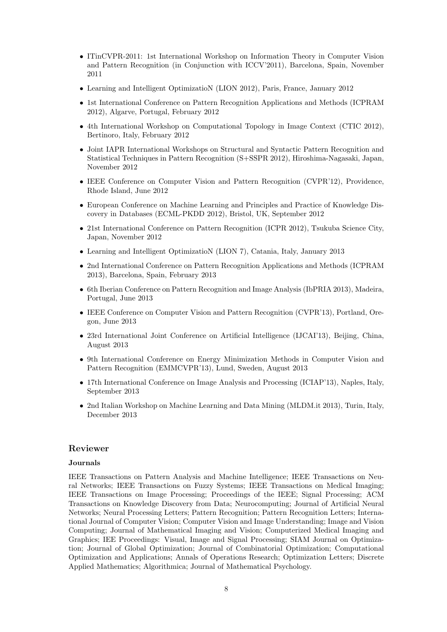- ITinCVPR-2011: 1st International Workshop on Information Theory in Computer Vision and Pattern Recognition (in Conjunction with ICCV'2011), Barcelona, Spain, November 2011
- Learning and Intelligent OptimizatioN (LION 2012), Paris, France, January 2012
- 1st International Conference on Pattern Recognition Applications and Methods (ICPRAM 2012), Algarve, Portugal, February 2012
- 4th International Workshop on Computational Topology in Image Context (CTIC 2012), Bertinoro, Italy, February 2012
- Joint IAPR International Workshops on Structural and Syntactic Pattern Recognition and Statistical Techniques in Pattern Recognition (S+SSPR 2012), Hiroshima-Nagasaki, Japan, November 2012
- IEEE Conference on Computer Vision and Pattern Recognition (CVPR'12), Providence, Rhode Island, June 2012
- European Conference on Machine Learning and Principles and Practice of Knowledge Discovery in Databases (ECML-PKDD 2012), Bristol, UK, September 2012
- 21st International Conference on Pattern Recognition (ICPR 2012), Tsukuba Science City, Japan, November 2012
- Learning and Intelligent OptimizatioN (LION 7), Catania, Italy, January 2013
- 2nd International Conference on Pattern Recognition Applications and Methods (ICPRAM 2013), Barcelona, Spain, February 2013
- 6th Iberian Conference on Pattern Recognition and Image Analysis (IbPRIA 2013), Madeira, Portugal, June 2013
- IEEE Conference on Computer Vision and Pattern Recognition (CVPR'13), Portland, Oregon, June 2013
- 23rd International Joint Conference on Artificial Intelligence (IJCAI'13), Beijing, China, August 2013
- 9th International Conference on Energy Minimization Methods in Computer Vision and Pattern Recognition (EMMCVPR'13), Lund, Sweden, August 2013
- 17th International Conference on Image Analysis and Processing (ICIAP'13), Naples, Italy, September 2013
- 2nd Italian Workshop on Machine Learning and Data Mining (MLDM.it 2013), Turin, Italy, December 2013

# Reviewer

## **Journals**

IEEE Transactions on Pattern Analysis and Machine Intelligence; IEEE Transactions on Neural Networks; IEEE Transactions on Fuzzy Systems; IEEE Transactions on Medical Imaging; IEEE Transactions on Image Processing; Proceedings of the IEEE; Signal Processing; ACM Transactions on Knowledge Discovery from Data; Neurocomputing; Journal of Artificial Neural Networks; Neural Processing Letters; Pattern Recognition; Pattern Recognition Letters; International Journal of Computer Vision; Computer Vision and Image Understanding; Image and Vision Computing; Journal of Mathematical Imaging and Vision; Computerized Medical Imaging and Graphics; IEE Proceedings: Visual, Image and Signal Processing; SIAM Journal on Optimization; Journal of Global Optimization; Journal of Combinatorial Optimization; Computational Optimization and Applications; Annals of Operations Research; Optimization Letters; Discrete Applied Mathematics; Algorithmica; Journal of Mathematical Psychology.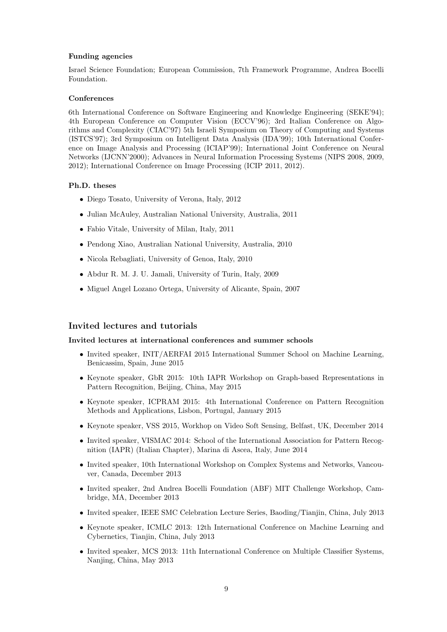## Funding agencies

Israel Science Foundation; European Commission, 7th Framework Programme, Andrea Bocelli Foundation.

## **Conferences**

6th International Conference on Software Engineering and Knowledge Engineering (SEKE'94); 4th European Conference on Computer Vision (ECCV'96); 3rd Italian Conference on Algorithms and Complexity (CIAC'97) 5th Israeli Symposium on Theory of Computing and Systems (ISTCS'97); 3rd Symposium on Intelligent Data Analysis (IDA'99); 10th International Conference on Image Analysis and Processing (ICIAP'99); International Joint Conference on Neural Networks (IJCNN'2000); Advances in Neural Information Processing Systems (NIPS 2008, 2009, 2012); International Conference on Image Processing (ICIP 2011, 2012).

## Ph.D. theses

- Diego Tosato, University of Verona, Italy, 2012
- Julian McAuley, Australian National University, Australia, 2011
- Fabio Vitale, University of Milan, Italy, 2011
- Pendong Xiao, Australian National University, Australia, 2010
- Nicola Rebagliati, University of Genoa, Italy, 2010
- Abdur R. M. J. U. Jamali, University of Turin, Italy, 2009
- Miguel Angel Lozano Ortega, University of Alicante, Spain, 2007

# Invited lectures and tutorials

#### Invited lectures at international conferences and summer schools

- Invited speaker, INIT/AERFAI 2015 International Summer School on Machine Learning, Benicassim, Spain, June 2015
- Keynote speaker, GbR 2015: 10th IAPR Workshop on Graph-based Representations in Pattern Recognition, Beijing, China, May 2015
- Keynote speaker, ICPRAM 2015: 4th International Conference on Pattern Recognition Methods and Applications, Lisbon, Portugal, January 2015
- Keynote speaker, VSS 2015, Workhop on Video Soft Sensing, Belfast, UK, December 2014
- Invited speaker, VISMAC 2014: School of the International Association for Pattern Recognition (IAPR) (Italian Chapter), Marina di Ascea, Italy, June 2014
- Invited speaker, 10th International Workshop on Complex Systems and Networks, Vancouver, Canada, December 2013
- Invited speaker, 2nd Andrea Bocelli Foundation (ABF) MIT Challenge Workshop, Cambridge, MA, December 2013
- Invited speaker, IEEE SMC Celebration Lecture Series, Baoding/Tianjin, China, July 2013
- Keynote speaker, ICMLC 2013: 12th International Conference on Machine Learning and Cybernetics, Tianjin, China, July 2013
- Invited speaker, MCS 2013: 11th International Conference on Multiple Classifier Systems, Nanjing, China, May 2013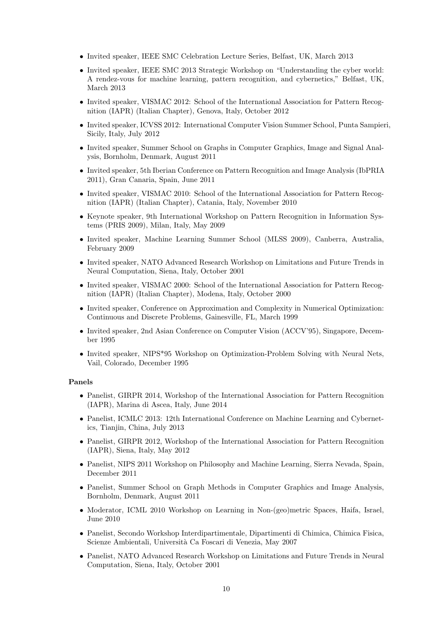- Invited speaker, IEEE SMC Celebration Lecture Series, Belfast, UK, March 2013
- Invited speaker, IEEE SMC 2013 Strategic Workshop on "Understanding the cyber world: A rendez-vous for machine learning, pattern recognition, and cybernetics," Belfast, UK, March 2013
- Invited speaker, VISMAC 2012: School of the International Association for Pattern Recognition (IAPR) (Italian Chapter), Genova, Italy, October 2012
- Invited speaker, ICVSS 2012: International Computer Vision Summer School, Punta Sampieri, Sicily, Italy, July 2012
- Invited speaker, Summer School on Graphs in Computer Graphics, Image and Signal Analysis, Bornholm, Denmark, August 2011
- Invited speaker, 5th Iberian Conference on Pattern Recognition and Image Analysis (IbPRIA 2011), Gran Canaria, Spain, June 2011
- Invited speaker, VISMAC 2010: School of the International Association for Pattern Recognition (IAPR) (Italian Chapter), Catania, Italy, November 2010
- Keynote speaker, 9th International Workshop on Pattern Recognition in Information Systems (PRIS 2009), Milan, Italy, May 2009
- Invited speaker, Machine Learning Summer School (MLSS 2009), Canberra, Australia, February 2009
- Invited speaker, NATO Advanced Research Workshop on Limitations and Future Trends in Neural Computation, Siena, Italy, October 2001
- Invited speaker, VISMAC 2000: School of the International Association for Pattern Recognition (IAPR) (Italian Chapter), Modena, Italy, October 2000
- Invited speaker, Conference on Approximation and Complexity in Numerical Optimization: Continuous and Discrete Problems, Gainesville, FL, March 1999
- Invited speaker, 2nd Asian Conference on Computer Vision (ACCV'95), Singapore, December 1995
- Invited speaker, NIPS\*95 Workshop on Optimization-Problem Solving with Neural Nets, Vail, Colorado, December 1995

## Panels

- Panelist, GIRPR 2014, Workshop of the International Association for Pattern Recognition (IAPR), Marina di Ascea, Italy, June 2014
- Panelist, ICMLC 2013: 12th International Conference on Machine Learning and Cybernetics, Tianjin, China, July 2013
- Panelist, GIRPR 2012, Workshop of the International Association for Pattern Recognition (IAPR), Siena, Italy, May 2012
- Panelist, NIPS 2011 Workshop on Philosophy and Machine Learning, Sierra Nevada, Spain, December 2011
- Panelist, Summer School on Graph Methods in Computer Graphics and Image Analysis, Bornholm, Denmark, August 2011
- Moderator, ICML 2010 Workshop on Learning in Non-(geo)metric Spaces, Haifa, Israel, June 2010
- Panelist, Secondo Workshop Interdipartimentale, Dipartimenti di Chimica, Chimica Fisica, Scienze Ambientali, Università Ca Foscari di Venezia, May 2007
- Panelist, NATO Advanced Research Workshop on Limitations and Future Trends in Neural Computation, Siena, Italy, October 2001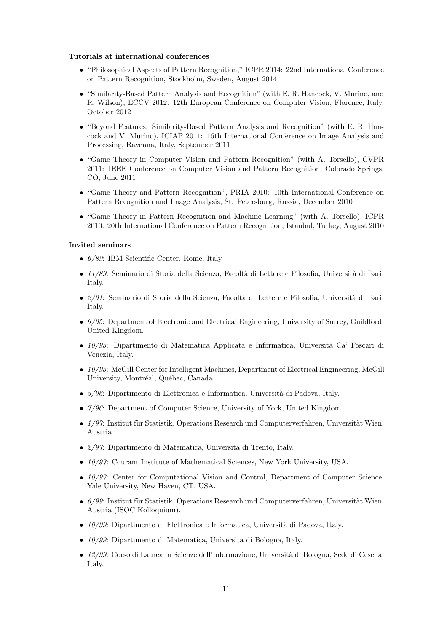#### Tutorials at international conferences

- "Philosophical Aspects of Pattern Recognition," ICPR 2014: 22nd International Conference on Pattern Recognition, Stockholm, Sweden, August 2014
- "Similarity-Based Pattern Analysis and Recognition" (with E. R. Hancock, V. Murino, and R. Wilson), ECCV 2012: 12th European Conference on Computer Vision, Florence, Italy, October 2012
- "Beyond Features: Similarity-Based Pattern Analysis and Recognition" (with E. R. Hancock and V. Murino), ICIAP 2011: 16th International Conference on Image Analysis and Processing, Ravenna, Italy, September 2011
- "Game Theory in Computer Vision and Pattern Recognition" (with A. Torsello), CVPR 2011: IEEE Conference on Computer Vision and Pattern Recognition, Colorado Springs, CO, June 2011
- "Game Theory and Pattern Recognition", PRIA 2010: 10th International Conference on Pattern Recognition and Image Analysis, St. Petersburg, Russia, December 2010
- "Game Theory in Pattern Recognition and Machine Learning" (with A. Torsello), ICPR 2010: 20th International Conference on Pattern Recognition, Istanbul, Turkey, August 2010

## Invited seminars

- 6/89: IBM Scientific Center, Rome, Italy
- 11/89: Seminario di Storia della Scienza, Facolt`a di Lettere e Filosofia, Universit`a di Bari, Italy.
- $\bullet$   $2/91$ : Seminario di Storia della Scienza, Facoltà di Lettere e Filosofia, Università di Bari, Italy.
- 9/95: Department of Electronic and Electrical Engineering, University of Surrey, Guildford, United Kingdom.
- $10/95$ : Dipartimento di Matematica Applicata e Informatica, Università Ca' Foscari di Venezia, Italy.
- 10/95: McGill Center for Intelligent Machines, Department of Electrical Engineering, McGill University, Montréal, Québec, Canada.
- $5/96$ : Dipartimento di Elettronica e Informatica, Università di Padova, Italy.
- 7/96: Department of Computer Science, University of York, United Kingdom.
- $1/97$ : Institut für Statistik, Operations Research und Computerverfahren, Universität Wien, Austria.
- $2/97$ : Dipartimento di Matematica, Università di Trento, Italy.
- 10/97: Courant Institute of Mathematical Sciences, New York University, USA.
- 10/97: Center for Computational Vision and Control, Department of Computer Science, Yale University, New Haven, CT, USA.
- $6/99$ : Institut für Statistik, Operations Research und Computerverfahren, Universität Wien, Austria (ISOC Kolloquium).
- $\bullet$  10/99: Dipartimento di Elettronica e Informatica, Università di Padova, Italy.
- $\bullet$  10/99: Dipartimento di Matematica, Università di Bologna, Italy.
- 12/99: Corso di Laurea in Scienze dell'Informazione, Universit`a di Bologna, Sede di Cesena, Italy.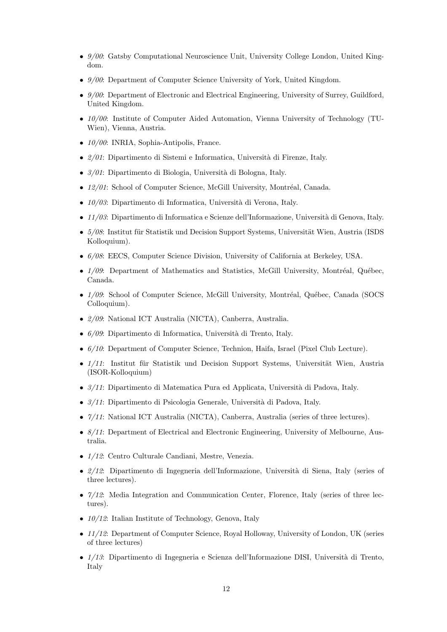- 9/00: Gatsby Computational Neuroscience Unit, University College London, United Kingdom.
- $9/00$ : Department of Computer Science University of York, United Kingdom.
- $9/00$ : Department of Electronic and Electrical Engineering, University of Surrey, Guildford, United Kingdom.
- 10/00: Institute of Computer Aided Automation, Vienna University of Technology (TU-Wien), Vienna, Austria.
- 10/00: INRIA, Sophia-Antipolis, France.
- $2/01$ : Dipartimento di Sistemi e Informatica, Università di Firenze, Italy.
- $3/01$ : Dipartimento di Biologia, Università di Bologna, Italy.
- $12/01$ : School of Computer Science, McGill University, Montréal, Canada.
- $\bullet$  10/03: Dipartimento di Informatica, Università di Verona, Italy.
- $\bullet$  11/03: Dipartimento di Informatica e Scienze dell'Informazione, Università di Genova, Italy.
- $5/08$ : Institut für Statistik und Decision Support Systems, Universität Wien, Austria (ISDS) Kolloquium).
- 6/08: EECS, Computer Science Division, University of California at Berkeley, USA.
- $1/09$ : Department of Mathematics and Statistics, McGill University, Montréal, Québec, Canada.
- $1/09$ : School of Computer Science, McGill University, Montréal, Québec, Canada (SOCS) Colloquium).
- 2/09: National ICT Australia (NICTA), Canberra, Australia.
- $6/09$ : Dipartimento di Informatica, Università di Trento, Italy.
- 6/10: Department of Computer Science, Technion, Haifa, Israel (Pixel Club Lecture).
- $1/11$ : Institut für Statistik und Decision Support Systems, Universität Wien, Austria (ISOR-Kolloquium)
- $3/11$ : Dipartimento di Matematica Pura ed Applicata, Università di Padova, Italy.
- $3/11$ : Dipartimento di Psicologia Generale, Università di Padova, Italy.
- $7/11$ : National ICT Australia (NICTA), Canberra, Australia (series of three lectures).
- 8/11: Department of Electrical and Electronic Engineering, University of Melbourne, Australia.
- 1/12: Centro Culturale Candiani, Mestre, Venezia.
- $2/12$ : Dipartimento di Ingegneria dell'Informazione, Università di Siena, Italy (series of three lectures).
- $7/12$ : Media Integration and Communication Center, Florence, Italy (series of three lectures).
- $10/12$ : Italian Institute of Technology, Genova, Italy
- 11/12: Department of Computer Science, Royal Holloway, University of London, UK (series of three lectures)
- $\bullet$  1/13: Dipartimento di Ingegneria e Scienza dell'Informazione DISI, Università di Trento, Italy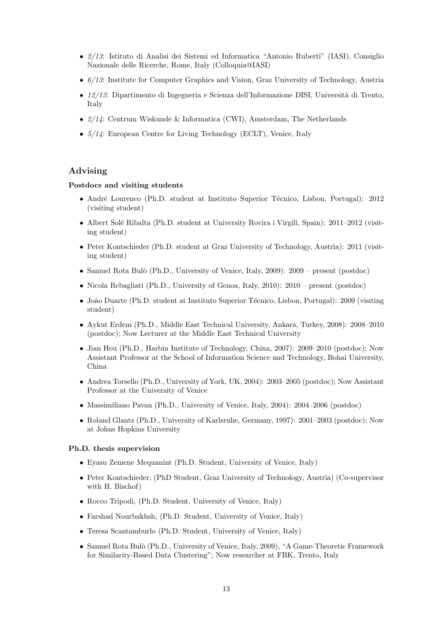- 2/13: Istituto di Analisi dei Sistemi ed Informatica "Antonio Ruberti" (IASI), Consiglio Nazionale delle Ricerche, Rome, Italy (Colloquia@IASI)
- $6/13$ : Institute for Computer Graphics and Vision, Graz University of Technology, Austria
- $\bullet$  12/13: Dipartimento di Ingegneria e Scienza dell'Informazione DISI, Università di Trento, Italy
- $2/14$ : Centrum Wiskunde & Informatica (CWI), Amsterdam, The Netherlands
- $5/14$ : European Centre for Living Technology (ECLT), Venice, Italy

# Advising

#### Postdocs and visiting students

- André Lourenco (Ph.D. student at Instituto Superior Técnico, Lisbon, Portugal): 2012 (visiting student)
- Albert Solé Ribalta (Ph.D. student at University Rovira i Virgili, Spain): 2011–2012 (visiting student)
- Peter Kontschieder (Ph.D. student at Graz University of Technology, Austria): 2011 (visiting student)
- Samuel Rota Bulò (Ph.D., University of Venice, Italy, 2009): 2009 present (postdoc)
- Nicola Rebagliati (Ph.D., University of Genoa, Italy, 2010):  $2010$  present (postdoc)
- João Duarte (Ph.D. student at Instituto Superior Técnico, Lisbon, Portugal): 2009 (visiting student)
- Aykut Erdem (Ph.D., Middle East Technical University, Ankara, Turkey, 2008): 2008–2010 (postdoc); Now Lecturer at the Middle East Technical University
- Jian Hou (Ph.D., Harbin Institute of Technology, China, 2007): 2009–2010 (postdoc); Now Assistant Professor at the School of Information Science and Technology, Bohai University, China
- Andrea Torsello (Ph.D., University of York, UK, 2004): 2003–2005 (postdoc); Now Assistant Professor at the University of Venice
- Massimiliano Pavan (Ph.D., University of Venice, Italy, 2004): 2004–2006 (postdoc)
- Roland Glantz (Ph.D., University of Karlsruhe, Germany, 1997): 2001–2003 (postdoc); Now at Johns Hopkins University

#### Ph.D. thesis supervision

- Eyasu Zemene Mequanint (Ph.D. Student, University of Venice, Italy)
- Peter Kontschieder, (PhD Student, Graz University of Technology, Austria) (Co-supervisor with H. Bischof)
- Rocco Tripodi, (Ph.D. Student, University of Venice, Italy)
- Farshad Nourbakhsh, (Ph.D. Student, University of Venice, Italy)
- Teresa Scantamburlo (Ph.D. Student, University of Venice, Italy)
- Samuel Rota Bulò (Ph.D., University of Venice, Italy, 2009), "A Game-Theoretic Framework for Similarity-Based Data Clustering"; Now researcher at FBK, Trento, Italy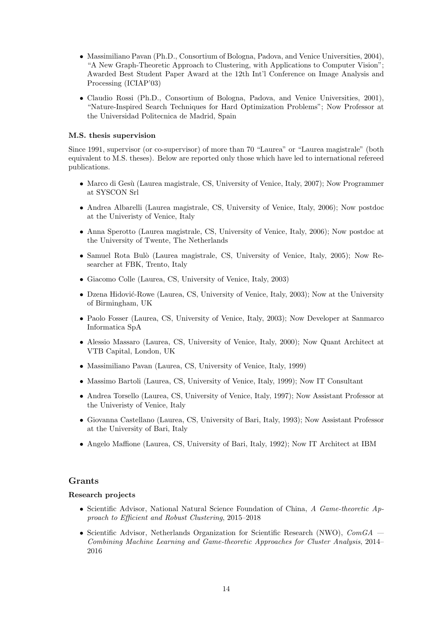- Massimiliano Pavan (Ph.D., Consortium of Bologna, Padova, and Venice Universities, 2004), "A New Graph-Theoretic Approach to Clustering, with Applications to Computer Vision"; Awarded Best Student Paper Award at the 12th Int'l Conference on Image Analysis and Processing (ICIAP'03)
- Claudio Rossi (Ph.D., Consortium of Bologna, Padova, and Venice Universities, 2001), "Nature-Inspired Search Techniques for Hard Optimization Problems"; Now Professor at the Universidad Politecnica de Madrid, Spain

# M.S. thesis supervision

Since 1991, supervisor (or co-supervisor) of more than 70 "Laurea" or "Laurea magistrale" (both equivalent to M.S. theses). Below are reported only those which have led to international refereed publications.

- Marco di Gesù (Laurea magistrale, CS, University of Venice, Italy, 2007); Now Programmer at SYSCON Srl
- Andrea Albarelli (Laurea magistrale, CS, University of Venice, Italy, 2006); Now postdoc at the Univeristy of Venice, Italy
- Anna Sperotto (Laurea magistrale, CS, University of Venice, Italy, 2006); Now postdoc at the University of Twente, The Netherlands
- Samuel Rota Bulò (Laurea magistrale, CS, University of Venice, Italy, 2005); Now Researcher at FBK, Trento, Italy
- Giacomo Colle (Laurea, CS, University of Venice, Italy, 2003)
- Dzena Hidović-Rowe (Laurea, CS, University of Venice, Italy, 2003); Now at the University of Birmingham, UK
- Paolo Fosser (Laurea, CS, University of Venice, Italy, 2003); Now Developer at Sanmarco Informatica SpA
- Alessio Massaro (Laurea, CS, University of Venice, Italy, 2000); Now Quant Architect at VTB Capital, London, UK
- Massimiliano Pavan (Laurea, CS, University of Venice, Italy, 1999)
- Massimo Bartoli (Laurea, CS, University of Venice, Italy, 1999); Now IT Consultant
- Andrea Torsello (Laurea, CS, University of Venice, Italy, 1997); Now Assistant Professor at the Univeristy of Venice, Italy
- Giovanna Castellano (Laurea, CS, University of Bari, Italy, 1993); Now Assistant Professor at the University of Bari, Italy
- Angelo Maffione (Laurea, CS, University of Bari, Italy, 1992); Now IT Architect at IBM

# Grants

## Research projects

- Scientific Advisor, National Natural Science Foundation of China, A Game-theoretic Approach to Efficient and Robust Clustering, 2015–2018
- Scientific Advisor, Netherlands Organization for Scientific Research (NWO),  $ComGA$  Combining Machine Learning and Game-theoretic Approaches for Cluster Analysis, 2014– 2016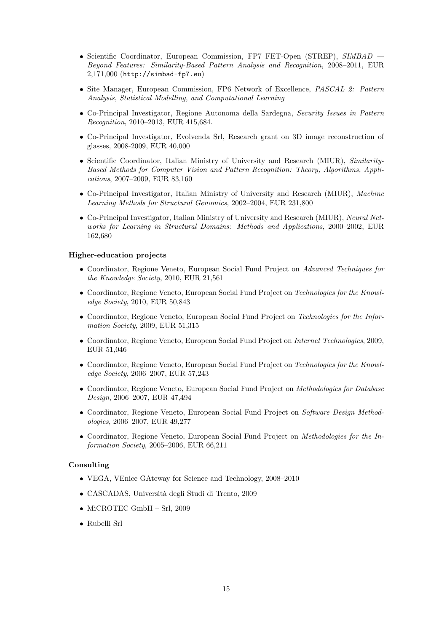- Scientific Coordinator, European Commission, FP7 FET-Open (STREP), SIMBAD Beyond Features: Similarity-Based Pattern Analysis and Recognition, 2008–2011, EUR 2,171,000 (http://simbad-fp7.eu)
- Site Manager, European Commission, FP6 Network of Excellence, PASCAL 2: Pattern Analysis, Statistical Modelling, and Computational Learning
- Co-Principal Investigator, Regione Autonoma della Sardegna, Security Issues in Pattern Recognition, 2010–2013, EUR 415,684.
- Co-Principal Investigator, Evolvenda Srl, Research grant on 3D image reconstruction of glasses, 2008-2009, EUR 40,000
- Scientific Coordinator, Italian Ministry of University and Research (MIUR), Similarity-Based Methods for Computer Vision and Pattern Recognition: Theory, Algorithms, Applications, 2007–2009, EUR 83,160
- Co-Principal Investigator, Italian Ministry of University and Research (MIUR), Machine Learning Methods for Structural Genomics, 2002–2004, EUR 231,800
- Co-Principal Investigator, Italian Ministry of University and Research (MIUR), Neural Networks for Learning in Structural Domains: Methods and Applications, 2000–2002, EUR 162,680

#### Higher-education projects

- Coordinator, Regione Veneto, European Social Fund Project on Advanced Techniques for the Knowledge Society, 2010, EUR 21,561
- Coordinator, Regione Veneto, European Social Fund Project on Technologies for the Knowledge Society, 2010, EUR 50,843
- Coordinator, Regione Veneto, European Social Fund Project on Technologies for the Information Society, 2009, EUR 51,315
- Coordinator, Regione Veneto, European Social Fund Project on Internet Technologies, 2009, EUR 51,046
- Coordinator, Regione Veneto, European Social Fund Project on Technologies for the Knowledge Society, 2006–2007, EUR 57,243
- Coordinator, Regione Veneto, European Social Fund Project on Methodologies for Database Design, 2006–2007, EUR 47,494
- Coordinator, Regione Veneto, European Social Fund Project on Software Design Methodologies, 2006–2007, EUR 49,277
- Coordinator, Regione Veneto, European Social Fund Project on Methodologies for the Information Society, 2005–2006, EUR 66,211

#### Consulting

- VEGA, VEnice GAteway for Science and Technology, 2008–2010
- CASCADAS, Universit`a degli Studi di Trento, 2009
- MiCROTEC GmbH Srl, 2009
- Rubelli Srl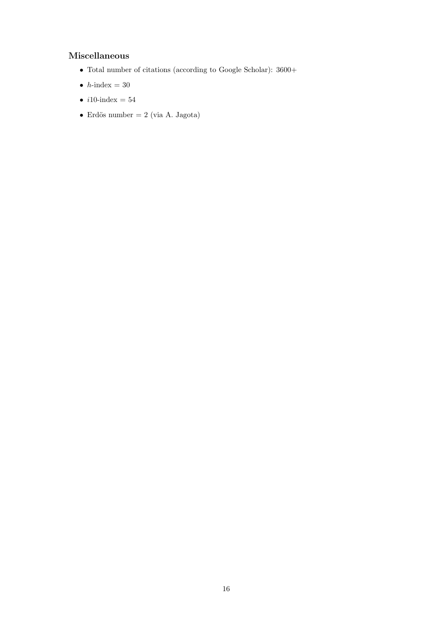# Miscellaneous

- Total number of citations (according to Google Scholar): 3600+
- $\bullet\,$   $h\text{-}\mathrm{index}$   $=$   $30$
- $i10$ -index = 54
- Erdös number = 2 (via A. Jagota)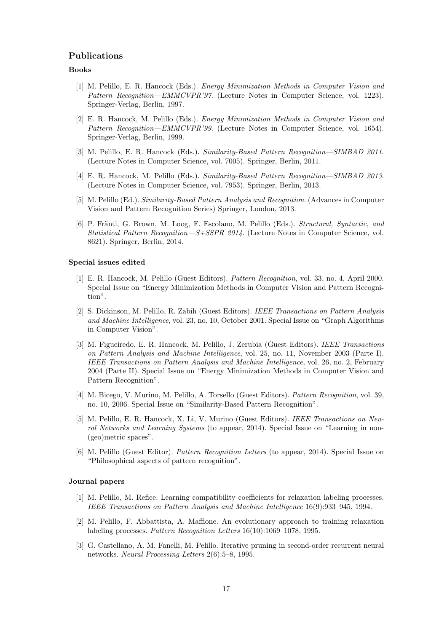# Publications

## Books

- [1] M. Pelillo, E. R. Hancock (Eds.). Energy Minimization Methods in Computer Vision and Pattern Recognition—EMMCVPR'97. (Lecture Notes in Computer Science, vol. 1223). Springer-Verlag, Berlin, 1997.
- [2] E. R. Hancock, M. Pelillo (Eds.). Energy Minimization Methods in Computer Vision and Pattern Recognition—EMMCVPR'99. (Lecture Notes in Computer Science, vol. 1654). Springer-Verlag, Berlin, 1999.
- [3] M. Pelillo, E. R. Hancock (Eds.). Similarity-Based Pattern Recognition—SIMBAD 2011. (Lecture Notes in Computer Science, vol. 7005). Springer, Berlin, 2011.
- [4] E. R. Hancock, M. Pelillo (Eds.). Similarity-Based Pattern Recognition—SIMBAD 2013. (Lecture Notes in Computer Science, vol. 7953). Springer, Berlin, 2013.
- [5] M. Pelillo (Ed.). Similarity-Based Pattern Analysis and Recognition. (Advances in Computer Vision and Pattern Recognition Series) Springer, London, 2013.
- [6] P. Fränti, G. Brown, M. Loog, F. Escolano, M. Pelillo (Eds.). Structural, Syntactic, and Statistical Pattern Recognition—S+SSPR 2014. (Lecture Notes in Computer Science, vol. 8621). Springer, Berlin, 2014.

#### Special issues edited

- [1] E. R. Hancock, M. Pelillo (Guest Editors). Pattern Recognition, vol. 33, no. 4, April 2000. Special Issue on "Energy Minimization Methods in Computer Vision and Pattern Recognition".
- [2] S. Dickinson, M. Pelillo, R. Zabih (Guest Editors). IEEE Transactions on Pattern Analysis and Machine Intelligence, vol. 23, no. 10, October 2001. Special Issue on "Graph Algorithms in Computer Vision".
- [3] M. Figueiredo, E. R. Hancock, M. Pelillo, J. Zerubia (Guest Editors). IEEE Transactions on Pattern Analysis and Machine Intelligence, vol. 25, no. 11, November 2003 (Parte I). IEEE Transactions on Pattern Analysis and Machine Intelligence, vol. 26, no. 2, February 2004 (Parte II). Special Issue on "Energy Minimization Methods in Computer Vision and Pattern Recognition".
- [4] M. Bicego, V. Murino, M. Pelillo, A. Torsello (Guest Editors). Pattern Recognition, vol. 39, no. 10, 2006. Special Issue on "Similarity-Based Pattern Recognition".
- [5] M. Pelillo, E. R. Hancock, X. Li, V. Murino (Guest Editors). IEEE Transactions on Neural Networks and Learning Systems (to appear, 2014). Special Issue on "Learning in non- (geo)metric spaces".
- [6] M. Pelillo (Guest Editor). Pattern Recognition Letters (to appear, 2014). Special Issue on "Philosophical aspects of pattern recognition".

#### Journal papers

- [1] M. Pelillo, M. Refice. Learning compatibility coefficients for relaxation labeling processes. IEEE Transactions on Pattern Analysis and Machine Intelligence 16(9):933–945, 1994.
- [2] M. Pelillo, F. Abbattista, A. Maffione. An evolutionary approach to training relaxation labeling processes. Pattern Recognition Letters 16(10):1069–1078, 1995.
- [3] G. Castellano, A. M. Fanelli, M. Pelillo. Iterative pruning in second-order recurrent neural networks. Neural Processing Letters 2(6):5–8, 1995.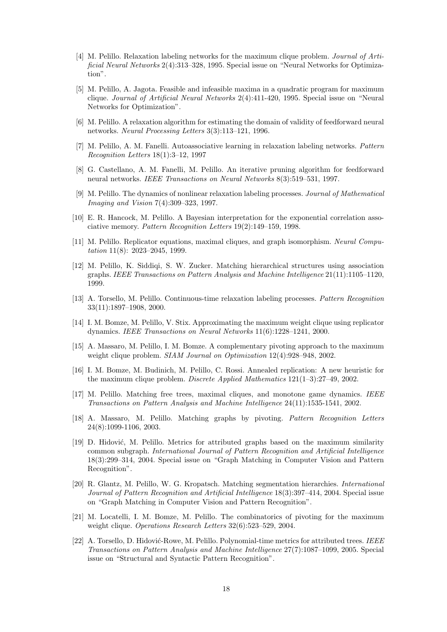- [4] M. Pelillo. Relaxation labeling networks for the maximum clique problem. Journal of Artificial Neural Networks 2(4):313–328, 1995. Special issue on "Neural Networks for Optimization".
- [5] M. Pelillo, A. Jagota. Feasible and infeasible maxima in a quadratic program for maximum clique. Journal of Artificial Neural Networks 2(4):411-420, 1995. Special issue on "Neural Networks for Optimization".
- [6] M. Pelillo. A relaxation algorithm for estimating the domain of validity of feedforward neural networks. Neural Processing Letters 3(3):113–121, 1996.
- [7] M. Pelillo, A. M. Fanelli. Autoassociative learning in relaxation labeling networks. Pattern Recognition Letters 18(1):3–12, 1997
- [8] G. Castellano, A. M. Fanelli, M. Pelillo. An iterative pruning algorithm for feedforward neural networks. IEEE Transactions on Neural Networks 8(3):519–531, 1997.
- [9] M. Pelillo. The dynamics of nonlinear relaxation labeling processes. Journal of Mathematical Imaging and Vision 7(4):309–323, 1997.
- [10] E. R. Hancock, M. Pelillo. A Bayesian interpretation for the exponential correlation associative memory. Pattern Recognition Letters 19(2):149–159, 1998.
- [11] M. Pelillo. Replicator equations, maximal cliques, and graph isomorphism. Neural Computation 11(8): 2023–2045, 1999.
- [12] M. Pelillo, K. Siddiqi, S. W. Zucker. Matching hierarchical structures using association graphs. IEEE Transactions on Pattern Analysis and Machine Intelligence 21(11):1105–1120, 1999.
- [13] A. Torsello, M. Pelillo. Continuous-time relaxation labeling processes. Pattern Recognition 33(11):1897–1908, 2000.
- [14] I. M. Bomze, M. Pelillo, V. Stix. Approximating the maximum weight clique using replicator dynamics. IEEE Transactions on Neural Networks 11(6):1228–1241, 2000.
- [15] A. Massaro, M. Pelillo, I. M. Bomze. A complementary pivoting approach to the maximum weight clique problem. *SIAM Journal on Optimization* 12(4):928–948, 2002.
- [16] I. M. Bomze, M. Budinich, M. Pelillo, C. Rossi. Annealed replication: A new heuristic for the maximum clique problem. Discrete Applied Mathematics 121(1–3):27–49, 2002.
- [17] M. Pelillo. Matching free trees, maximal cliques, and monotone game dynamics. IEEE Transactions on Pattern Analysis and Machine Intelligence 24(11):1535-1541, 2002.
- [18] A. Massaro, M. Pelillo. Matching graphs by pivoting. Pattern Recognition Letters 24(8):1099-1106, 2003.
- [19] D. Hidović, M. Pelillo. Metrics for attributed graphs based on the maximum similarity common subgraph. International Journal of Pattern Recognition and Artificial Intelligence 18(3):299–314, 2004. Special issue on "Graph Matching in Computer Vision and Pattern Recognition".
- [20] R. Glantz, M. Pelillo, W. G. Kropatsch. Matching segmentation hierarchies. International Journal of Pattern Recognition and Artificial Intelligence 18(3):397–414, 2004. Special issue on "Graph Matching in Computer Vision and Pattern Recognition".
- [21] M. Locatelli, I. M. Bomze, M. Pelillo. The combinatorics of pivoting for the maximum weight clique. *Operations Research Letters* 32(6):523–529, 2004.
- [22] A. Torsello, D. Hidović-Rowe, M. Pelillo. Polynomial-time metrics for attributed trees. IEEE Transactions on Pattern Analysis and Machine Intelligence 27(7):1087–1099, 2005. Special issue on "Structural and Syntactic Pattern Recognition".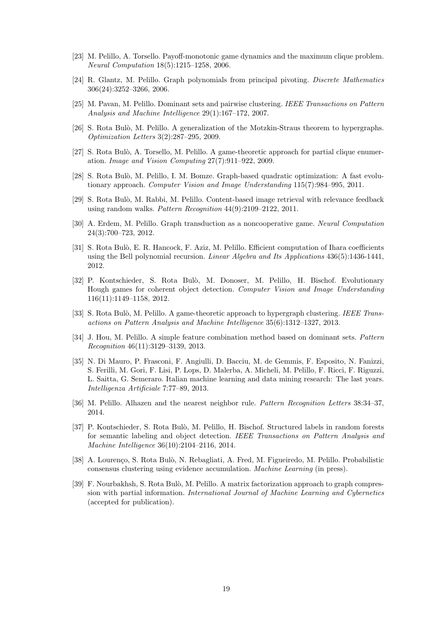- [23] M. Pelillo, A. Torsello. Payoff-monotonic game dynamics and the maximum clique problem. Neural Computation 18(5):1215–1258, 2006.
- [24] R. Glantz, M. Pelillo. Graph polynomials from principal pivoting. Discrete Mathematics 306(24):3252–3266, 2006.
- [25] M. Pavan, M. Pelillo. Dominant sets and pairwise clustering. IEEE Transactions on Pattern Analysis and Machine Intelligence 29(1):167–172, 2007.
- [26] S. Rota Bulò, M. Pelillo. A generalization of the Motzkin-Straus theorem to hypergraphs. Optimization Letters 3(2):287–295, 2009.
- [27] S. Rota Bulò, A. Torsello, M. Pelillo. A game-theoretic approach for partial clique enumeration. Image and Vision Computing 27(7):911–922, 2009.
- [28] S. Rota Bulò, M. Pelillo, I. M. Bomze. Graph-based quadratic optimization: A fast evolutionary approach. Computer Vision and Image Understanding 115(7):984–995, 2011.
- [29] S. Rota Bulò, M. Rabbi, M. Pelillo. Content-based image retrieval with relevance feedback using random walks. Pattern Recognition 44(9):2109–2122, 2011.
- [30] A. Erdem, M. Pelillo. Graph transduction as a noncooperative game. Neural Computation 24(3):700–723, 2012.
- [31] S. Rota Bul`o, E. R. Hancock, F. Aziz, M. Pelillo. Efficient computation of Ihara coefficients using the Bell polynomial recursion. Linear Algebra and Its Applications  $436(5)$ :1436-1441, 2012.
- [32] P. Kontschieder, S. Rota Bulò, M. Donoser, M. Pelillo, H. Bischof. Evolutionary Hough games for coherent object detection. Computer Vision and Image Understanding 116(11):1149–1158, 2012.
- [33] S. Rota Bulò, M. Pelillo. A game-theoretic approach to hypergraph clustering. IEEE Transactions on Pattern Analysis and Machine Intelligence 35(6):1312–1327, 2013.
- [34] J. Hou, M. Pelillo. A simple feature combination method based on dominant sets. Pattern Recognition 46(11):3129–3139, 2013.
- [35] N. Di Mauro, P. Frasconi, F. Angiulli, D. Bacciu, M. de Gemmis, F. Esposito, N. Fanizzi, S. Ferilli, M. Gori, F. Lisi, P. Lops, D. Malerba, A. Micheli, M. Pelillo, F. Ricci, F. Riguzzi, L. Saitta, G. Semeraro. Italian machine learning and data mining research: The last years. Intelligenza Artificiale 7:77–89, 2013.
- [36] M. Pelillo. Alhazen and the nearest neighbor rule. Pattern Recognition Letters 38:34–37, 2014.
- [37] P. Kontschieder, S. Rota Bulò, M. Pelillo, H. Bischof. Structured labels in random forests for semantic labeling and object detection. IEEE Transactions on Pattern Analysis and Machine Intelligence 36(10):2104–2116, 2014.
- [38] A. Lourenço, S. Rota Bulò, N. Rebagliati, A. Fred, M. Figueiredo, M. Pelillo. Probabilistic consensus clustering using evidence accumulation. Machine Learning (in press).
- [39] F. Nourbakhsh, S. Rota Bulò, M. Pelillo. A matrix factorization approach to graph compression with partial information. International Journal of Machine Learning and Cybernetics (accepted for publication).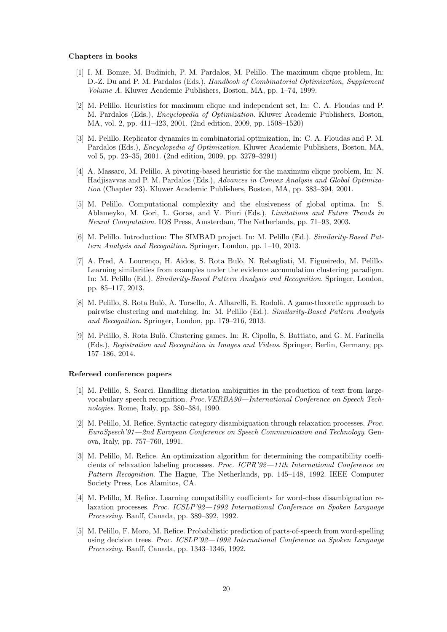#### Chapters in books

- [1] I. M. Bomze, M. Budinich, P. M. Pardalos, M. Pelillo. The maximum clique problem, In: D.-Z. Du and P. M. Pardalos (Eds.), *Handbook of Combinatorial Optimization*, *Supplement* Volume A. Kluwer Academic Publishers, Boston, MA, pp. 1–74, 1999.
- [2] M. Pelillo. Heuristics for maximum clique and independent set, In: C. A. Floudas and P. M. Pardalos (Eds.), Encyclopedia of Optimization. Kluwer Academic Publishers, Boston, MA, vol. 2, pp. 411–423, 2001. (2nd edition, 2009, pp. 1508–1520)
- [3] M. Pelillo. Replicator dynamics in combinatorial optimization, In: C. A. Floudas and P. M. Pardalos (Eds.), Encyclopedia of Optimization. Kluwer Academic Publishers, Boston, MA, vol 5, pp. 23–35, 2001. (2nd edition, 2009, pp. 3279–3291)
- [4] A. Massaro, M. Pelillo. A pivoting-based heuristic for the maximum clique problem, In: N. Hadjisavvas and P. M. Pardalos (Eds.), Advances in Convex Analysis and Global Optimization (Chapter 23). Kluwer Academic Publishers, Boston, MA, pp. 383–394, 2001.
- [5] M. Pelillo. Computational complexity and the elusiveness of global optima. In: S. Ablameyko, M. Gori, L. Goras, and V. Piuri (Eds.), Limitations and Future Trends in Neural Computation. IOS Press, Amsterdam, The Netherlands, pp. 71–93, 2003.
- [6] M. Pelillo. Introduction: The SIMBAD project. In: M. Pelillo (Ed.). Similarity-Based Pattern Analysis and Recognition. Springer, London, pp. 1–10, 2013.
- [7] A. Fred, A. Lourenco, H. Aidos, S. Rota Bulò, N. Rebagliati, M. Figueiredo, M. Pelillo. Learning similarities from examples under the evidence accumulation clustering paradigm. In: M. Pelillo (Ed.). Similarity-Based Pattern Analysis and Recognition. Springer, London, pp. 85–117, 2013.
- [8] M. Pelillo, S. Rota Bulò, A. Torsello, A. Albarelli, E. Rodolà. A game-theoretic approach to pairwise clustering and matching. In: M. Pelillo (Ed.). Similarity-Based Pattern Analysis and Recognition. Springer, London, pp. 179–216, 2013.
- [9] M. Pelillo, S. Rota Bulò. Clustering games. In: R. Cipolla, S. Battiato, and G. M. Farinella (Eds.), Registration and Recognition in Images and Videos. Springer, Berlin, Germany, pp. 157–186, 2014.

#### Refereed conference papers

- [1] M. Pelillo, S. Scarci. Handling dictation ambiguities in the production of text from largevocabulary speech recognition. Proc.VERBA90—International Conference on Speech Technologies. Rome, Italy, pp. 380–384, 1990.
- [2] M. Pelillo, M. Refice. Syntactic category disambiguation through relaxation processes. Proc. EuroSpeech'91—2nd European Conference on Speech Communication and Technology. Genova, Italy, pp. 757–760, 1991.
- [3] M. Pelillo, M. Refice. An optimization algorithm for determining the compatibility coefficients of relaxation labeling processes. Proc. ICPR'92—11th International Conference on Pattern Recognition. The Hague, The Netherlands, pp. 145–148, 1992. IEEE Computer Society Press, Los Alamitos, CA.
- [4] M. Pelillo, M. Refice. Learning compatibility coefficients for word-class disambiguation relaxation processes. Proc. ICSLP'92—1992 International Conference on Spoken Language Processing. Banff, Canada, pp. 389–392, 1992.
- [5] M. Pelillo, F. Moro, M. Refice. Probabilistic prediction of parts-of-speech from word-spelling using decision trees. Proc. ICSLP'92-1992 International Conference on Spoken Language Processing. Banff, Canada, pp. 1343–1346, 1992.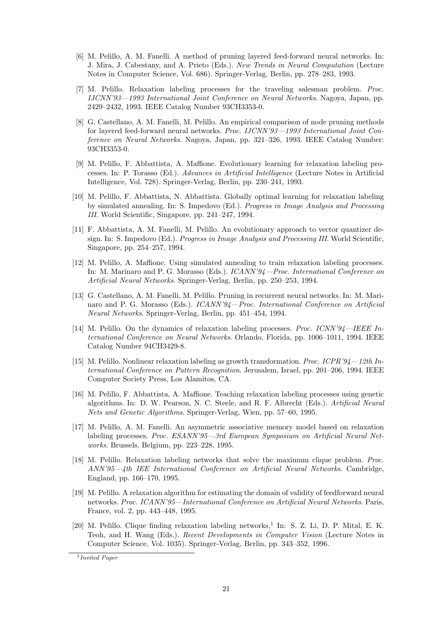- [6] M. Pelillo, A. M. Fanelli. A method of pruning layered feed-forward neural networks. In: J. Mira, J. Cabestany, and A. Prieto (Eds.). New Trends in Neural Computation (Lecture Notes in Computer Science, Vol. 686). Springer-Verlag, Berlin, pp. 278–283, 1993.
- [7] M. Pelillo. Relaxation labeling processes for the traveling salesman problem. Proc. IJCNN'93—1993 International Joint Conference on Neural Networks. Nagoya, Japan, pp. 2429–2432, 1993. IEEE Catalog Number 93CH3353-0.
- [8] G. Castellano, A. M. Fanelli, M. Pelillo. An empirical comparison of node pruning methods for layered feed-forward neural networks. Proc. IJCNN'93-1993 International Joint Conference on Neural Networks. Nagoya, Japan, pp. 321–326, 1993. IEEE Catalog Number: 93CH3353-0.
- [9] M. Pelillo, F. Abbattista, A. Maffione. Evolutionary learning for relaxation labeling processes. In: P. Torasso (Ed.). Advances in Artificial Intelligence (Lecture Notes in Artificial Intelligence, Vol. 728). Springer-Verlag, Berlin, pp. 230–241, 1993.
- [10] M. Pelillo, F. Abbattista, N. Abbattista. Globally optimal learning for relaxation labeling by simulated annealing. In: S. Impedovo (Ed.). Progress in Image Analysis and Processing III. World Scientific, Singapore, pp. 241–247, 1994.
- [11] F. Abbattista, A. M. Fanelli, M. Pelillo. An evolutionary approach to vector quantizer design. In: S. Impedovo (Ed.). *Progress in Image Analysis and Processing III*. World Scientific, Singapore, pp. 254–257, 1994.
- [12] M. Pelillo, A. Maffione. Using simulated annealing to train relaxation labeling processes. In: M. Marinaro and P. G. Morasso (Eds.). ICANN'94—Proc. International Conference on Artificial Neural Networks. Springer-Verlag, Berlin, pp. 250–253, 1994.
- [13] G. Castellano, A. M. Fanelli, M. Pelillo. Pruning in recurrent neural networks. In: M. Marinaro and P. G. Morasso (Eds.). ICANN'94—Proc. International Conference on Artificial Neural Networks. Springer-Verlag, Berlin, pp. 451–454, 1994.
- [14] M. Pelillo. On the dynamics of relaxation labeling processes. *Proc. ICNN'94—IEEE In*ternational Conference on Neural Networks. Orlando, Florida, pp. 1006–1011, 1994. IEEE Catalog Number 94CH3429-8.
- [15] M. Pelillo. Nonlinear relaxation labeling as growth transformation. Proc. ICPR'94—12th International Conference on Pattern Recognition. Jerusalem, Israel, pp. 201–206, 1994. IEEE Computer Society Press, Los Alamitos, CA.
- [16] M. Pelillo, F. Abbattista, A. Maffione. Teaching relaxation labeling processes using genetic algorithms. In: D. W. Pearson, N. C. Steele, and R. F. Albrecht (Eds.). Artificial Neural Nets and Genetic Algorithms. Springer-Verlag, Wien, pp. 57–60, 1995.
- [17] M. Pelillo, A. M. Fanelli. An asymmetric associative memory model based on relaxation labeling processes. Proc. ESANN'95—3rd European Symposium on Artificial Neural Networks. Brussels, Belgium, pp. 223–228, 1995.
- [18] M. Pelillo. Relaxation labeling networks that solve the maximum clique problem. Proc. ANN'95—4th IEE International Conference on Artificial Neural Networks. Cambridge, England, pp. 166–170, 1995.
- [19] M. Pelillo. A relaxation algorithm for estimating the domain of validity of feedforward neural networks. Proc. ICANN'95—International Conference on Artificial Neural Networks. Paris, France, vol. 2, pp. 443–448, 1995.
- [20] M. Pelillo. Clique finding relaxation labeling networks,<sup>1</sup> In: S. Z. Li, D. P. Mital, E. K. Teoh, and H. Wang (Eds.). Recent Developments in Computer Vision (Lecture Notes in Computer Science, Vol. 1035). Springer-Verlag, Berlin, pp. 343–352, 1996.

<sup>1</sup> Invited Paper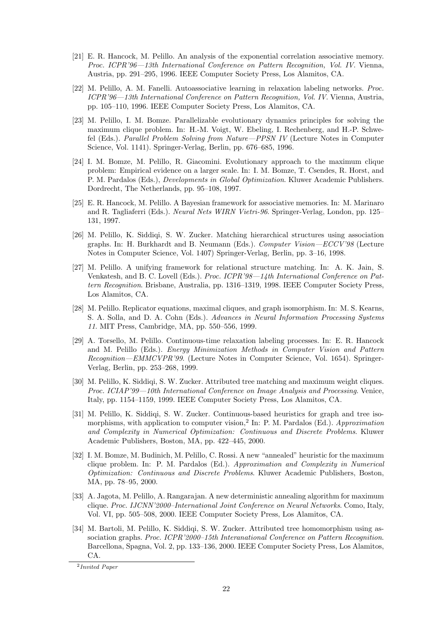- [21] E. R. Hancock, M. Pelillo. An analysis of the exponential correlation associative memory. Proc. ICPR'96—13th International Conference on Pattern Recognition, Vol. IV. Vienna, Austria, pp. 291–295, 1996. IEEE Computer Society Press, Los Alamitos, CA.
- [22] M. Pelillo, A. M. Fanelli. Autoassociative learning in relaxation labeling networks. Proc. ICPR'96—13th International Conference on Pattern Recognition, Vol. IV. Vienna, Austria, pp. 105–110, 1996. IEEE Computer Society Press, Los Alamitos, CA.
- [23] M. Pelillo, I. M. Bomze. Parallelizable evolutionary dynamics principles for solving the maximum clique problem. In: H.-M. Voigt, W. Ebeling, I. Rechenberg, and H.-P. Schwefel (Eds.). Parallel Problem Solving from Nature—PPSN IV (Lecture Notes in Computer Science, Vol. 1141). Springer-Verlag, Berlin, pp. 676–685, 1996.
- [24] I. M. Bomze, M. Pelillo, R. Giacomini. Evolutionary approach to the maximum clique problem: Empirical evidence on a larger scale. In: I. M. Bomze, T. Csendes, R. Horst, and P. M. Pardalos (Eds.), Developments in Global Optimization. Kluwer Academic Publishers. Dordrecht, The Netherlands, pp. 95–108, 1997.
- [25] E. R. Hancock, M. Pelillo. A Bayesian framework for associative memories. In: M. Marinaro and R. Tagliaferri (Eds.). Neural Nets WIRN Vietri-96. Springer-Verlag, London, pp. 125– 131, 1997.
- [26] M. Pelillo, K. Siddiqi, S. W. Zucker. Matching hierarchical structures using association graphs. In: H. Burkhardt and B. Neumann (Eds.). Computer Vision—ECCV'98 (Lecture Notes in Computer Science, Vol. 1407) Springer-Verlag, Berlin, pp. 3–16, 1998.
- [27] M. Pelillo. A unifying framework for relational structure matching. In: A. K. Jain, S. Venkatesh, and B. C. Lovell (Eds.). Proc. ICPR'98—14th International Conference on Pattern Recognition. Brisbane, Australia, pp. 1316–1319, 1998. IEEE Computer Society Press, Los Alamitos, CA.
- [28] M. Pelillo. Replicator equations, maximal cliques, and graph isomorphism. In: M. S. Kearns, S. A. Solla, and D. A. Cohn (Eds.). Advances in Neural Information Processing Systems 11. MIT Press, Cambridge, MA, pp. 550–556, 1999.
- [29] A. Torsello, M. Pelillo. Continuous-time relaxation labeling processes. In: E. R. Hancock and M. Pelillo (Eds.). Energy Minimization Methods in Computer Vision and Pattern Recognition—EMMCVPR'99. (Lecture Notes in Computer Science, Vol. 1654). Springer-Verlag, Berlin, pp. 253–268, 1999.
- [30] M. Pelillo, K. Siddiqi, S. W. Zucker. Attributed tree matching and maximum weight cliques. Proc. ICIAP'99—10th International Conference on Image Analysis and Processing. Venice, Italy, pp. 1154–1159, 1999. IEEE Computer Society Press, Los Alamitos, CA.
- [31] M. Pelillo, K. Siddiqi, S. W. Zucker. Continuous-based heuristics for graph and tree isomorphisms, with application to computer vision,<sup>2</sup> In: P. M. Pardalos (Ed.). Approximation and Complexity in Numerical Optimization: Continuous and Discrete Problems. Kluwer Academic Publishers, Boston, MA, pp. 422–445, 2000.
- [32] I. M. Bomze, M. Budinich, M. Pelillo, C. Rossi. A new "annealed" heuristic for the maximum clique problem. In: P. M. Pardalos (Ed.). Approximation and Complexity in Numerical Optimization: Continuous and Discrete Problems. Kluwer Academic Publishers, Boston, MA, pp. 78–95, 2000.
- [33] A. Jagota, M. Pelillo, A. Rangarajan. A new deterministic annealing algorithm for maximum clique. Proc. IJCNN'2000–International Joint Conference on Neural Networks. Como, Italy, Vol. VI, pp. 505–508, 2000. IEEE Computer Society Press, Los Alamitos, CA.
- [34] M. Bartoli, M. Pelillo, K. Siddiqi, S. W. Zucker. Attributed tree homomorphism using association graphs. Proc. ICPR'2000–15th Interanational Conference on Pattern Recognition. Barcellona, Spagna, Vol. 2, pp. 133–136, 2000. IEEE Computer Society Press, Los Alamitos, CA.

<sup>2</sup> Invited Paper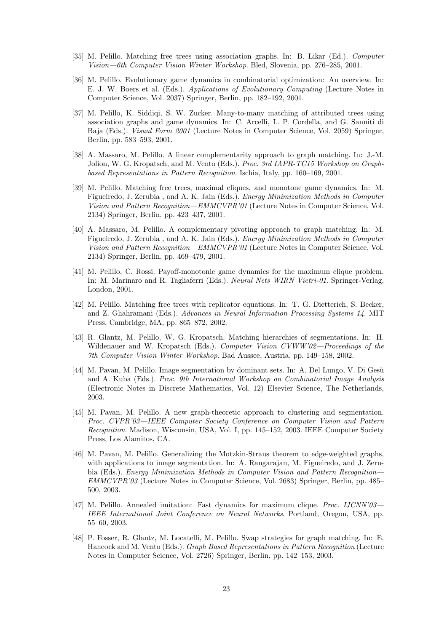- [35] M. Pelillo. Matching free trees using association graphs. In: B. Likar (Ed.). Computer Vision—6th Computer Vision Winter Workshop. Bled, Slovenia, pp. 276–285, 2001.
- [36] M. Pelillo. Evolutionary game dynamics in combinatorial optimization: An overview. In: E. J. W. Boers et al. (Eds.). Applications of Evolutionary Computing (Lecture Notes in Computer Science, Vol. 2037) Springer, Berlin, pp. 182–192, 2001.
- [37] M. Pelillo, K. Siddiqi, S. W. Zucker. Many-to-many matching of attributed trees using association graphs and game dynamics. In: C. Arcelli, L. P. Cordella, and G. Sanniti di Baja (Eds.). *Visual Form 2001* (Lecture Notes in Computer Science, Vol. 2059) Springer, Berlin, pp. 583–593, 2001.
- [38] A. Massaro, M. Pelillo. A linear complementarity approach to graph matching. In: J.-M. Jolion, W. G. Kropatsch, and M. Vento (Eds.). Proc. 3rd IAPR-TC15 Workshop on Graphbased Representations in Pattern Recognition. Ischia, Italy, pp. 160–169, 2001.
- [39] M. Pelillo. Matching free trees, maximal cliques, and monotone game dynamics. In: M. Figueiredo, J. Zerubia , and A. K. Jain (Eds.). Energy Minimization Methods in Computer Vision and Pattern Recognition—EMMCVPR'01 (Lecture Notes in Computer Science, Vol. 2134) Springer, Berlin, pp. 423–437, 2001.
- [40] A. Massaro, M. Pelillo. A complementary pivoting approach to graph matching. In: M. Figueiredo, J. Zerubia , and A. K. Jain (Eds.). Energy Minimization Methods in Computer Vision and Pattern Recognition—EMMCVPR'01 (Lecture Notes in Computer Science, Vol. 2134) Springer, Berlin, pp. 469–479, 2001.
- [41] M. Pelillo, C. Rossi. Payoff-monotonic game dynamics for the maximum clique problem. In: M. Marinaro and R. Tagliaferri (Eds.). Neural Nets WIRN Vietri-01. Springer-Verlag, London, 2001.
- [42] M. Pelillo. Matching free trees with replicator equations. In: T. G. Dietterich, S. Becker, and Z. Ghahramani (Eds.). Advances in Neural Information Processing Systems 14. MIT Press, Cambridge, MA, pp. 865–872, 2002.
- [43] R. Glantz, M. Pelillo, W. G. Kropatsch. Matching hierarchies of segmentations. In: H. Wildenauer and W. Kropatsch (Eds.). Computer Vision CVWW'02-Proceedings of the 7th Computer Vision Winter Workshop. Bad Aussee, Austria, pp. 149–158, 2002.
- [44] M. Pavan, M. Pelillo. Image segmentation by dominant sets. In: A. Del Lungo, V. Di Gesù and A. Kuba (Eds.). Proc. 9th International Workshop on Combinatorial Image Analysis (Electronic Notes in Discrete Mathematics, Vol. 12) Elsevier Science, The Netherlands, 2003.
- [45] M. Pavan, M. Pelillo. A new graph-theoretic approach to clustering and segmentation. Proc. CVPR'03—IEEE Computer Society Conference on Computer Vision and Pattern Recognition. Madison, Wisconsin, USA, Vol. I, pp. 145–152, 2003. IEEE Computer Society Press, Los Alamitos, CA.
- [46] M. Pavan, M. Pelillo. Generalizing the Motzkin-Straus theorem to edge-weighted graphs, with applications to image segmentation. In: A. Rangarajan, M. Figueiredo, and J. Zerubia (Eds.). *Energy Minimization Methods in Computer Vision and Pattern Recognition* EMMCVPR'03 (Lecture Notes in Computer Science, Vol. 2683) Springer, Berlin, pp. 485– 500, 2003.
- [47] M. Pelillo. Annealed imitation: Fast dynamics for maximum clique. Proc. IJCNN'03— IEEE International Joint Conference on Neural Networks. Portland, Oregon, USA, pp. 55–60, 2003.
- [48] P. Fosser, R. Glantz, M. Locatelli, M. Pelillo. Swap strategies for graph matching. In: E. Hancock and M. Vento (Eds.). Graph Based Representations in Pattern Recognition (Lecture Notes in Computer Science, Vol. 2726) Springer, Berlin, pp. 142–153, 2003.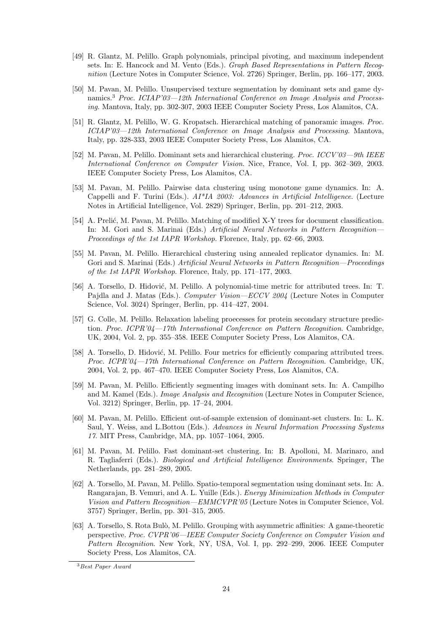- [49] R. Glantz, M. Pelillo. Graph polynomials, principal pivoting, and maximum independent sets. In: E. Hancock and M. Vento (Eds.). Graph Based Representations in Pattern Recognition (Lecture Notes in Computer Science, Vol. 2726) Springer, Berlin, pp. 166–177, 2003.
- [50] M. Pavan, M. Pelillo. Unsupervised texture segmentation by dominant sets and game dynamics.<sup>3</sup> Proc. ICIAP'03-12th International Conference on Image Analysis and Processing. Mantova, Italy, pp. 302-307, 2003 IEEE Computer Society Press, Los Alamitos, CA.
- [51] R. Glantz, M. Pelillo, W. G. Kropatsch. Hierarchical matching of panoramic images. Proc. ICIAP'03—12th International Conference on Image Analysis and Processing. Mantova, Italy, pp. 328-333, 2003 IEEE Computer Society Press, Los Alamitos, CA.
- [52] M. Pavan, M. Pelillo. Dominant sets and hierarchical clustering. Proc. ICCV'03—9th IEEE International Conference on Computer Vision. Nice, France, Vol. I, pp. 362–369, 2003. IEEE Computer Society Press, Los Alamitos, CA.
- [53] M. Pavan, M. Pelillo. Pairwise data clustering using monotone game dynamics. In: A. Cappelli and F. Turini (Eds.).  $AI^*IA$  2003: Advances in Artificial Intelligence. (Lecture Notes in Artificial Intelligence, Vol. 2829) Springer, Berlin, pp. 201–212, 2003.
- [54] A. Prelić, M. Pavan, M. Pelillo. Matching of modified X-Y trees for document classification. In: M. Gori and S. Marinai (Eds.) Artificial Neural Networks in Pattern Recognition— Proceedings of the 1st IAPR Workshop. Florence, Italy, pp. 62–66, 2003.
- [55] M. Pavan, M. Pelillo. Hierarchical clustering using annealed replicator dynamics. In: M. Gori and S. Marinai (Eds.) Artificial Neural Networks in Pattern Recognition—Proceedings of the 1st IAPR Workshop. Florence, Italy, pp. 171–177, 2003.
- [56] A. Torsello, D. Hidović, M. Pelillo. A polynomial-time metric for attributed trees. In: T. Pajdla and J. Matas (Eds.). Computer Vision—ECCV 2004 (Lecture Notes in Computer Science, Vol. 3024) Springer, Berlin, pp. 414–427, 2004.
- [57] G. Colle, M. Pelillo. Relaxation labeling proecesses for protein secondary structure prediction. Proc. ICPR'04—17th International Conference on Pattern Recognition. Cambridge, UK, 2004, Vol. 2, pp. 355–358. IEEE Computer Society Press, Los Alamitos, CA.
- [58] A. Torsello, D. Hidović, M. Pelillo. Four metrics for efficiently comparing attributed trees. Proc. ICPR'04—17th International Conference on Pattern Recognition. Cambridge, UK, 2004, Vol. 2, pp. 467–470. IEEE Computer Society Press, Los Alamitos, CA.
- [59] M. Pavan, M. Pelillo. Efficiently segmenting images with dominant sets. In: A. Campilho and M. Kamel (Eds.). Image Analysis and Recognition (Lecture Notes in Computer Science, Vol. 3212) Springer, Berlin, pp. 17–24, 2004.
- [60] M. Pavan, M. Pelillo. Efficient out-of-sample extension of dominant-set clusters. In: L. K. Saul, Y. Weiss, and L.Bottou (Eds.). Advances in Neural Information Processing Systems 17. MIT Press, Cambridge, MA, pp. 1057–1064, 2005.
- [61] M. Pavan, M. Pelillo. Fast dominant-set clustering. In: B. Apolloni, M. Marinaro, and R. Tagliaferri (Eds.). Biological and Artificial Intelligence Environments. Springer, The Netherlands, pp. 281–289, 2005.
- [62] A. Torsello, M. Pavan, M. Pelillo. Spatio-temporal segmentation using dominant sets. In: A. Rangarajan, B. Vemuri, and A. L. Yuille (Eds.). Energy Minimization Methods in Computer Vision and Pattern Recognition—EMMCVPR'05 (Lecture Notes in Computer Science, Vol. 3757) Springer, Berlin, pp. 301–315, 2005.
- [63] A. Torsello, S. Rota Bulò, M. Pelillo. Grouping with asymmetric affinities: A game-theoretic perspective. Proc. CVPR'06—IEEE Computer Society Conference on Computer Vision and Pattern Recognition. New York, NY, USA, Vol. I, pp. 292–299, 2006. IEEE Computer Society Press, Los Alamitos, CA.

<sup>3</sup>Best Paper Award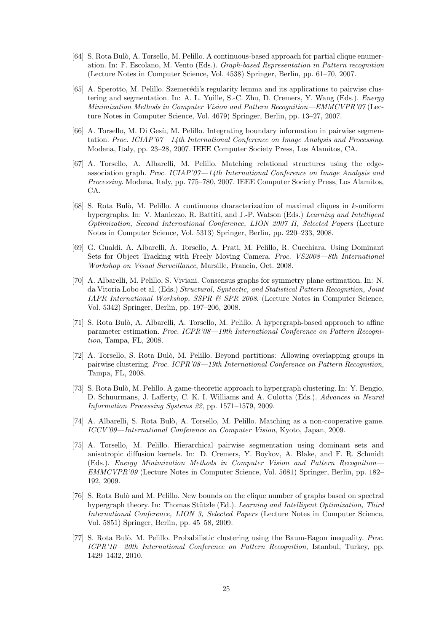- [64] S. Rota Bul`o, A. Torsello, M. Pelillo. A continuous-based approach for partial clique enumeration. In: F. Escolano, M. Vento (Eds.). Graph-based Representation in Pattern recognition (Lecture Notes in Computer Science, Vol. 4538) Springer, Berlin, pp. 61–70, 2007.
- [65] A. Sperotto, M. Pelillo. Szemerédi's regularity lemma and its applications to pairwise clustering and segmentation. In: A. L. Yuille, S.-C. Zhu, D. Cremers, Y. Wang (Eds.). Energy Minimization Methods in Computer Vision and Pattern Recognition—EMMCVPR'07 (Lecture Notes in Computer Science, Vol. 4679) Springer, Berlin, pp. 13–27, 2007.
- [66] A. Torsello, M. Di Gesù, M. Pelillo. Integrating boundary information in pairwise segmentation. Proc. ICIAP'07—14th International Conference on Image Analysis and Processing. Modena, Italy, pp. 23–28, 2007. IEEE Computer Society Press, Los Alamitos, CA.
- [67] A. Torsello, A. Albarelli, M. Pelillo. Matching relational structures using the edgeassociation graph. Proc. ICIAP'07—14th International Conference on Image Analysis and Processing. Modena, Italy, pp. 775–780, 2007. IEEE Computer Society Press, Los Alamitos, CA.
- [68] S. Rota Bulò, M. Pelillo. A continuous characterization of maximal cliques in k-uniform hypergraphs. In: V. Maniezzo, R. Battiti, and J.-P. Watson (Eds.) Learning and Intelligent Optimization, Second International Conference, LION 2007 II, Selected Papers (Lecture Notes in Computer Science, Vol. 5313) Springer, Berlin, pp. 220–233, 2008.
- [69] G. Gualdi, A. Albarelli, A. Torsello, A. Prati, M. Pelillo, R. Cucchiara. Using Dominant Sets for Object Tracking with Freely Moving Camera. Proc. VS2008—8th International Workshop on Visual Surveillance, Marsille, Francia, Oct. 2008.
- [70] A. Albarelli, M. Pelillo, S. Viviani. Consensus graphs for symmetry plane estimation. In: N. da Vitoria Lobo et al. (Eds.) Structural, Syntactic, and Statistical Pattern Recognition, Joint IAPR International Workshop, SSPR & SPR 2008. (Lecture Notes in Computer Science, Vol. 5342) Springer, Berlin, pp. 197–206, 2008.
- [71] S. Rota Bul`o, A. Albarelli, A. Torsello, M. Pelillo. A hypergraph-based approach to affine parameter estimation. Proc. ICPR'08—19th International Conference on Pattern Recognition, Tampa, FL, 2008.
- [72] A. Torsello, S. Rota Bul`o, M. Pelillo. Beyond partitions: Allowing overlapping groups in pairwise clustering. Proc. ICPR'08—19th International Conference on Pattern Recognition, Tampa, FL, 2008.
- [73] S. Rota Bulò, M. Pelillo. A game-theoretic approach to hypergraph clustering. In: Y. Bengio, D. Schuurmans, J. Lafferty, C. K. I. Williams and A. Culotta (Eds.). Advances in Neural Information Processing Systems 22, pp. 1571–1579, 2009.
- [74] A. Albarelli, S. Rota Bulò, A. Torsello, M. Pelillo. Matching as a non-cooperative game. ICCV'09—International Conference on Computer Vision, Kyoto, Japan, 2009.
- [75] A. Torsello, M. Pelillo. Hierarchical pairwise segmentation using dominant sets and anisotropic diffusion kernels. In: D. Cremers, Y. Boykov, A. Blake, and F. R. Schmidt (Eds.). Energy Minimization Methods in Computer Vision and Pattern Recognition— EMMCVPR'09 (Lecture Notes in Computer Science, Vol. 5681) Springer, Berlin, pp. 182– 192, 2009.
- [76] S. Rota Bulò and M. Pelillo. New bounds on the clique number of graphs based on spectral hypergraph theory. In: Thomas Stützle (Ed.). Learning and Intelligent Optimization, Third International Conference, LION 3, Selected Papers (Lecture Notes in Computer Science, Vol. 5851) Springer, Berlin, pp. 45–58, 2009.
- [77] S. Rota Bulò, M. Pelillo. Probabilistic clustering using the Baum-Eagon inequality. Proc. ICPR'10—20th International Conference on Pattern Recognition, Istanbul, Turkey, pp. 1429–1432, 2010.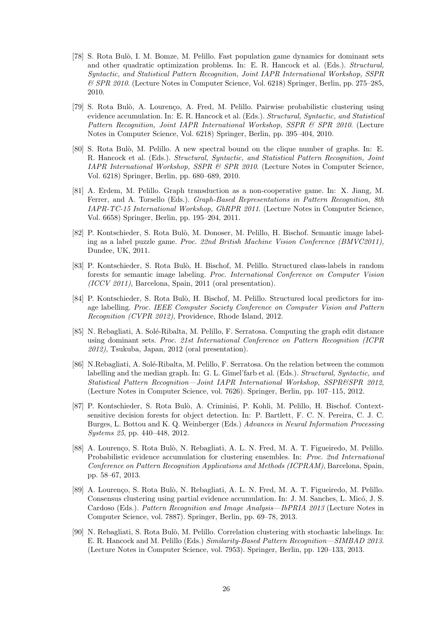- [78] S. Rota Bulò, I. M. Bomze, M. Pelillo. Fast population game dynamics for dominant sets and other quadratic optimization problems. In: E. R. Hancock et al. (Eds.). Structural, Syntactic, and Statistical Pattern Recognition, Joint IAPR International Workshop, SSPR & SPR 2010. (Lecture Notes in Computer Science, Vol. 6218) Springer, Berlin, pp. 275–285, 2010.
- [79] S. Rota Bulò, A. Lourenço, A. Fred, M. Pelillo. Pairwise probabilistic clustering using evidence accumulation. In: E. R. Hancock et al. (Eds.). Structural, Syntactic, and Statistical Pattern Recognition, Joint IAPR International Workshop, SSPR & SPR 2010. (Lecture Notes in Computer Science, Vol. 6218) Springer, Berlin, pp. 395–404, 2010.
- [80] S. Rota Bulò, M. Pelillo. A new spectral bound on the clique number of graphs. In: E. R. Hancock et al. (Eds.). Structural, Syntactic, and Statistical Pattern Recognition, Joint IAPR International Workshop, SSPR & SPR 2010. (Lecture Notes in Computer Science, Vol. 6218) Springer, Berlin, pp. 680–689, 2010.
- [81] A. Erdem, M. Pelillo. Graph transduction as a non-cooperative game. In: X. Jiang, M. Ferrer, and A. Torsello (Eds.). Graph-Based Representations in Pattern Recognition, 8th IAPR-TC-15 International Workshop, GbRPR 2011. (Lecture Notes in Computer Science, Vol. 6658) Springer, Berlin, pp. 195–204, 2011.
- [82] P. Kontschieder, S. Rota Bulò, M. Donoser, M. Pelillo, H. Bischof. Semantic image labeling as a label puzzle game. Proc. 22nd British Machine Vision Conference (BMVC2011), Dundee, UK, 2011.
- [83] P. Kontschieder, S. Rota Bulò, H. Bischof, M. Pelillo. Structured class-labels in random forests for semantic image labeling. Proc. International Conference on Computer Vision (ICCV 2011), Barcelona, Spain, 2011 (oral presentation).
- [84] P. Kontschieder, S. Rota Bulò, H. Bischof, M. Pelillo. Structured local predictors for image labelling. Proc. IEEE Computer Society Conference on Computer Vision and Pattern Recognition (CVPR 2012), Providence, Rhode Island, 2012.
- [85] N. Rebagliati, A. Solé-Ribalta, M. Pelillo, F. Serratosa. Computing the graph edit distance using dominant sets. Proc. 21st International Conference on Pattern Recognition (ICPR 2012), Tsukuba, Japan, 2012 (oral presentation).
- [86] N.Rebagliati, A. Solé-Ribalta, M. Pelillo, F. Serratosa. On the relation between the common labelling and the median graph. In: G. L. Gimel'farb et al. (Eds.). Structural, Syntactic, and Statistical Pattern Recognition—Joint IAPR International Workshop, SSPR&SPR 2012, (Lecture Notes in Computer Science, vol. 7626). Springer, Berlin, pp. 107–115, 2012.
- [87] P. Kontschieder, S. Rota Bulò, A. Criminisi, P. Kohli, M. Pelillo, H. Bischof. Contextsensitive decision forests for object detection. In: P. Bartlett, F. C. N. Pereira, C. J. C. Burges, L. Bottou and K. Q. Weinberger (Eds.) Advances in Neural Information Processing Systems 25, pp. 440–448, 2012.
- [88] A. Lourenço, S. Rota Bulò, N. Rebagliati, A. L. N. Fred, M. A. T. Figueiredo, M. Pelillo. Probabilistic evidence accumulation for clustering ensembles. In: Proc. 2nd International Conference on Pattern Recognition Applications and Methods (ICPRAM), Barcelona, Spain, pp. 58–67, 2013.
- [89] A. Lourenço, S. Rota Bulò, N. Rebagliati, A. L. N. Fred, M. A. T. Figueiredo, M. Pelillo. Consensus clustering using partial evidence accumulation. In: J. M. Sanches, L. Micó, J. S. Cardoso (Eds.). Pattern Recognition and Image Analysis—IbPRIA 2013 (Lecture Notes in Computer Science, vol. 7887). Springer, Berlin, pp. 69–78, 2013.
- [90] N. Rebagliati, S. Rota Bulò, M. Pelillo. Correlation clustering with stochastic labelings. In: E. R. Hancock and M. Pelillo (Eds.) Similarity-Based Pattern Recognition—SIMBAD 2013. (Lecture Notes in Computer Science, vol. 7953). Springer, Berlin, pp. 120–133, 2013.